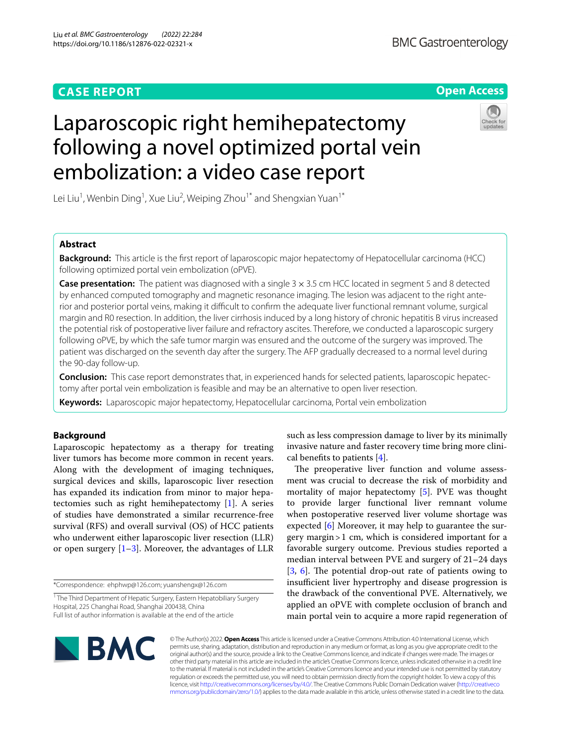# **CASE REPORT**

# **Open Access**



# Laparoscopic right hemihepatectomy following a novel optimized portal vein embolization: a video case report

Lei Liu<sup>1</sup>, Wenbin Ding<sup>1</sup>, Xue Liu<sup>2</sup>, Weiping Zhou<sup>1\*</sup> and Shengxian Yuan<sup>1\*</sup>

# **Abstract**

**Background:** This article is the first report of laparoscopic major hepatectomy of Hepatocellular carcinoma (HCC) following optimized portal vein embolization (oPVE).

**Case presentation:** The patient was diagnosed with a single 3 x 3.5 cm HCC located in segment 5 and 8 detected by enhanced computed tomography and magnetic resonance imaging. The lesion was adjacent to the right anterior and posterior portal veins, making it difficult to confirm the adequate liver functional remnant volume, surgical margin and R0 resection. In addition, the liver cirrhosis induced by a long history of chronic hepatitis B virus increased the potential risk of postoperative liver failure and refractory ascites. Therefore, we conducted a laparoscopic surgery following oPVE, by which the safe tumor margin was ensured and the outcome of the surgery was improved. The patient was discharged on the seventh day after the surgery. The AFP gradually decreased to a normal level during the 90-day follow-up.

**Conclusion:** This case report demonstrates that, in experienced hands for selected patients, laparoscopic hepatectomy after portal vein embolization is feasible and may be an alternative to open liver resection.

**Keywords:** Laparoscopic major hepatectomy, Hepatocellular carcinoma, Portal vein embolization

# **Background**

Laparoscopic hepatectomy as a therapy for treating liver tumors has become more common in recent years. Along with the development of imaging techniques, surgical devices and skills, laparoscopic liver resection has expanded its indication from minor to major hepatectomies such as right hemihepatectomy [[1\]](#page-3-0). A series of studies have demonstrated a similar recurrence-free survival (RFS) and overall survival (OS) of HCC patients who underwent either laparoscopic liver resection (LLR) or open surgery  $[1-3]$  $[1-3]$ . Moreover, the advantages of LLR

\*Correspondence: ehphwp@126.com; yuanshengx@126.com

such as less compression damage to liver by its minimally invasive nature and faster recovery time bring more clinical benefits to patients  $[4]$  $[4]$ .

The preoperative liver function and volume assessment was crucial to decrease the risk of morbidity and mortality of major hepatectomy [[5\]](#page-3-3). PVE was thought to provide larger functional liver remnant volume when postoperative reserved liver volume shortage was expected [\[6](#page-3-4)] Moreover, it may help to guarantee the surgery margin>1 cm, which is considered important for a favorable surgery outcome. Previous studies reported a median interval between PVE and surgery of 21–24 days  $[3, 6]$  $[3, 6]$  $[3, 6]$  $[3, 6]$ . The potential drop-out rate of patients owing to insufficient liver hypertrophy and disease progression is the drawback of the conventional PVE. Alternatively, we applied an oPVE with complete occlusion of branch and main portal vein to acquire a more rapid regeneration of



© The Author(s) 2022. **Open Access** This article is licensed under a Creative Commons Attribution 4.0 International License, which permits use, sharing, adaptation, distribution and reproduction in any medium or format, as long as you give appropriate credit to the original author(s) and the source, provide a link to the Creative Commons licence, and indicate if changes were made. The images or other third party material in this article are included in the article's Creative Commons licence, unless indicated otherwise in a credit line to the material. If material is not included in the article's Creative Commons licence and your intended use is not permitted by statutory regulation or exceeds the permitted use, you will need to obtain permission directly from the copyright holder. To view a copy of this licence, visit [http://creativecommons.org/licenses/by/4.0/.](http://creativecommons.org/licenses/by/4.0/) The Creative Commons Public Domain Dedication waiver ([http://creativeco](http://creativecommons.org/publicdomain/zero/1.0/) [mmons.org/publicdomain/zero/1.0/](http://creativecommons.org/publicdomain/zero/1.0/)) applies to the data made available in this article, unless otherwise stated in a credit line to the data.

<sup>&</sup>lt;sup>1</sup> The Third Department of Hepatic Surgery, Eastern Hepatobiliary Surgery Hospital, 225 Changhai Road, Shanghai 200438, China Full list of author information is available at the end of the article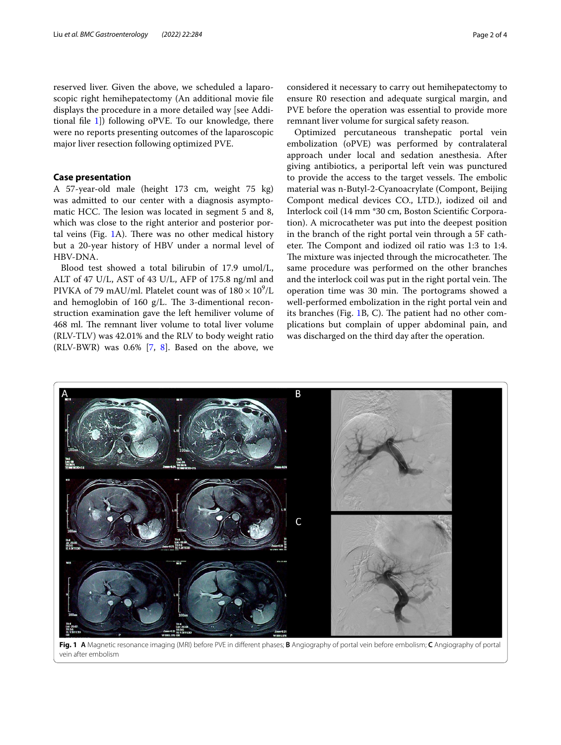reserved liver. Given the above, we scheduled a laparoscopic right hemihepatectomy (An additional movie fle displays the procedure in a more detailed way [see Additional file  $1$ ]) following oPVE. To our knowledge, there were no reports presenting outcomes of the laparoscopic major liver resection following optimized PVE.

## **Case presentation**

A 57-year-old male (height 173 cm, weight 75 kg) was admitted to our center with a diagnosis asymptomatic HCC. The lesion was located in segment 5 and 8, which was close to the right anterior and posterior portal veins (Fig.  $1A$  $1A$ ). There was no other medical history but a 20-year history of HBV under a normal level of HBV-DNA.

Blood test showed a total bilirubin of 17.9 umol/L, ALT of 47 U/L, AST of 43 U/L, AFP of 175.8 ng/ml and PIVKA of 79 mAU/ml. Platelet count was of  $180 \times 10^9$ /L and hemoglobin of 160  $g/L$ . The 3-dimentional reconstruction examination gave the left hemiliver volume of 468 ml. The remnant liver volume to total liver volume (RLV-TLV) was 42.01% and the RLV to body weight ratio (RLV-BWR) was  $0.6\%$  [\[7](#page-3-6), [8](#page-3-7)]. Based on the above, we

considered it necessary to carry out hemihepatectomy to ensure R0 resection and adequate surgical margin, and PVE before the operation was essential to provide more remnant liver volume for surgical safety reason.

Optimized percutaneous transhepatic portal vein embolization (oPVE) was performed by contralateral approach under local and sedation anesthesia. After giving antibiotics, a periportal left vein was punctured to provide the access to the target vessels. The embolic material was n-Butyl-2-Cyanoacrylate (Compont, Beijing Compont medical devices CO., LTD.), iodized oil and Interlock coil (14 mm \*30 cm, Boston Scientifc Corporation). A microcatheter was put into the deepest position in the branch of the right portal vein through a 5F catheter. The Compont and iodized oil ratio was 1:3 to 1:4. The mixture was injected through the microcatheter. The same procedure was performed on the other branches and the interlock coil was put in the right portal vein. The operation time was 30 min. The portograms showed a well-performed embolization in the right portal vein and its branches (Fig. [1B](#page-1-0), C). The patient had no other complications but complain of upper abdominal pain, and was discharged on the third day after the operation.



<span id="page-1-0"></span>**Fig. 1 A** Magnetic resonance imaging (MRI) before PVE in diferent phases; **B** Angiography of portal vein before embolism; **C** Angiography of portal vein after embolism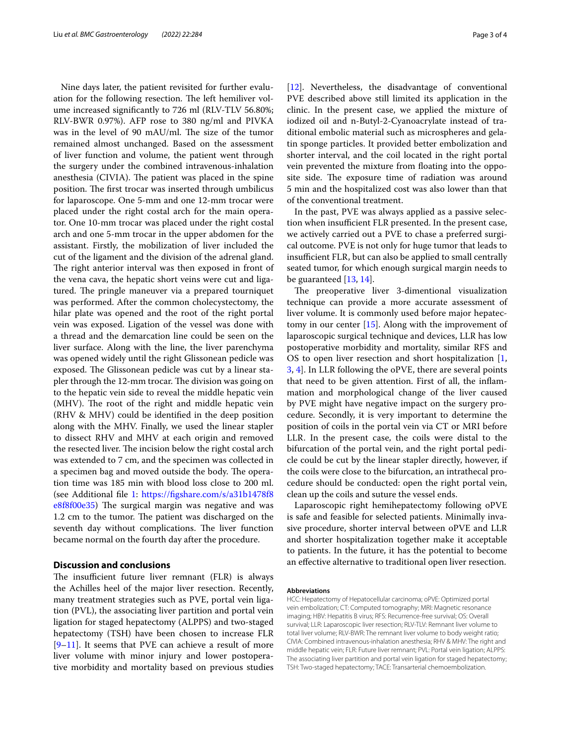Nine days later, the patient revisited for further evaluation for the following resection. The left hemiliver volume increased signifcantly to 726 ml (RLV-TLV 56.80%; RLV-BWR 0.97%). AFP rose to 380 ng/ml and PIVKA was in the level of 90 mAU/ml. The size of the tumor remained almost unchanged. Based on the assessment of liver function and volume, the patient went through the surgery under the combined intravenous-inhalation anesthesia (CIVIA). The patient was placed in the spine position. The first trocar was inserted through umbilicus for laparoscope. One 5-mm and one 12-mm trocar were placed under the right costal arch for the main operator. One 10-mm trocar was placed under the right costal arch and one 5-mm trocar in the upper abdomen for the assistant. Firstly, the mobilization of liver included the cut of the ligament and the division of the adrenal gland. The right anterior interval was then exposed in front of the vena cava, the hepatic short veins were cut and ligatured. The pringle maneuver via a prepared tourniquet was performed. After the common cholecystectomy, the hilar plate was opened and the root of the right portal vein was exposed. Ligation of the vessel was done with a thread and the demarcation line could be seen on the liver surface. Along with the line, the liver parenchyma was opened widely until the right Glissonean pedicle was exposed. The Glissonean pedicle was cut by a linear stapler through the 12-mm trocar. The division was going on to the hepatic vein side to reveal the middle hepatic vein (MHV). The root of the right and middle hepatic vein (RHV & MHV) could be identifed in the deep position along with the MHV. Finally, we used the linear stapler to dissect RHV and MHV at each origin and removed the resected liver. The incision below the right costal arch was extended to 7 cm, and the specimen was collected in a specimen bag and moved outside the body. The operation time was 185 min with blood loss close to 200 ml. (see Additional fle [1](#page-3-5): [https://fgshare.com/s/a31b1478f8](https://figshare.com/s/a31b1478f8e8f8f00e35)  $e8f8f00e35$ ) The surgical margin was negative and was 1.2 cm to the tumor. The patient was discharged on the seventh day without complications. The liver function became normal on the fourth day after the procedure.

# **Discussion and conclusions**

The insufficient future liver remnant (FLR) is always the Achilles heel of the major liver resection. Recently, many treatment strategies such as PVE, portal vein ligation (PVL), the associating liver partition and portal vein ligation for staged hepatectomy (ALPPS) and two-staged hepatectomy (TSH) have been chosen to increase FLR [[9–](#page-3-8)[11\]](#page-3-9). It seems that PVE can achieve a result of more liver volume with minor injury and lower postoperative morbidity and mortality based on previous studies [[12\]](#page-3-10). Nevertheless, the disadvantage of conventional PVE described above still limited its application in the clinic. In the present case, we applied the mixture of iodized oil and n-Butyl-2-Cyanoacrylate instead of traditional embolic material such as microspheres and gelatin sponge particles. It provided better embolization and shorter interval, and the coil located in the right portal vein prevented the mixture from foating into the opposite side. The exposure time of radiation was around 5 min and the hospitalized cost was also lower than that of the conventional treatment.

In the past, PVE was always applied as a passive selection when insufficient FLR presented. In the present case, we actively carried out a PVE to chase a preferred surgical outcome. PVE is not only for huge tumor that leads to insufficient FLR, but can also be applied to small centrally seated tumor, for which enough surgical margin needs to be guaranteed [\[13,](#page-3-11) [14](#page-3-12)].

The preoperative liver 3-dimentional visualization technique can provide a more accurate assessment of liver volume. It is commonly used before major hepatectomy in our center  $[15]$  $[15]$ . Along with the improvement of laparoscopic surgical technique and devices, LLR has low postoperative morbidity and mortality, similar RFS and OS to open liver resection and short hospitalization [\[1](#page-3-0), [3,](#page-3-1) [4](#page-3-2)]. In LLR following the oPVE, there are several points that need to be given attention. First of all, the infammation and morphological change of the liver caused by PVE might have negative impact on the surgery procedure. Secondly, it is very important to determine the position of coils in the portal vein via CT or MRI before LLR. In the present case, the coils were distal to the bifurcation of the portal vein, and the right portal pedicle could be cut by the linear stapler directly, however, if the coils were close to the bifurcation, an intrathecal procedure should be conducted: open the right portal vein, clean up the coils and suture the vessel ends.

Laparoscopic right hemihepatectomy following oPVE is safe and feasible for selected patients. Minimally invasive procedure, shorter interval between oPVE and LLR and shorter hospitalization together make it acceptable to patients. In the future, it has the potential to become an efective alternative to traditional open liver resection.

#### **Abbreviations**

HCC: Hepatectomy of Hepatocellular carcinoma; oPVE: Optimized portal vein embolization; CT: Computed tomography; MRI: Magnetic resonance imaging; HBV: Hepatitis B virus; RFS: Recurrence-free survival; OS: Overall survival; LLR: Laparoscopic liver resection; RLV-TLV: Remnant liver volume to total liver volume; RLV-BWR: The remnant liver volume to body weight ratio; CIVIA: Combined intravenous-inhalation anesthesia; RHV & MHV: The right and middle hepatic vein; FLR: Future liver remnant; PVL: Portal vein ligation; ALPPS: The associating liver partition and portal vein ligation for staged hepatectomy; TSH: Two-staged hepatectomy; TACE: Transarterial chemoembolization.